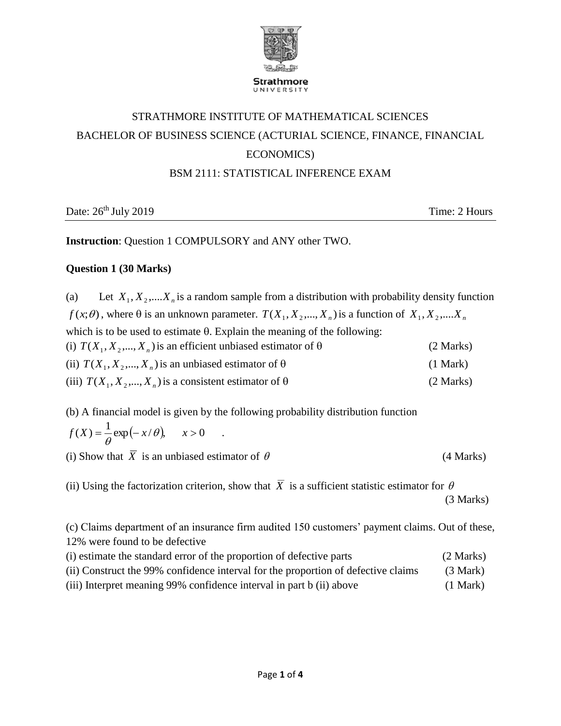

# STRATHMORE INSTITUTE OF MATHEMATICAL SCIENCES BACHELOR OF BUSINESS SCIENCE (ACTURIAL SCIENCE, FINANCE, FINANCIAL ECONOMICS)

## BSM 2111: STATISTICAL INFERENCE EXAM

Date:  $26<sup>th</sup>$  July 2019 Time: 2 Hours

**Instruction**: Question 1 COMPULSORY and ANY other TWO.

## **Question 1 (30 Marks)**

(a) Let  $X_1, X_2, \ldots, X_n$  is a random sample from a distribution with probability density function  $f(x;\theta)$ , where  $\theta$  is an unknown parameter.  $T(X_1, X_2, ..., X_n)$  is a function of  $X_1, X_2, ..., X_n$ which is to be used to estimate  $\theta$ . Explain the meaning of the following: (i)  $T(X_1, X_2, ..., X_n)$  is an efficient unbiased estimator of  $\theta$  (2 Marks) (ii)  $T(X_1, X_2, \ldots, X_n)$  is an unbiased estimator of  $\theta$  (1 Mark)

- (iii)  $T(X_1, X_2, \ldots, X_n)$  is a consistent estimator of  $\theta$  (2 Marks)
- (b) A financial model is given by the following probability distribution function 1 .

$$
f(X) = \frac{1}{\theta} \exp(-x/\theta), \quad x > 0
$$

(i) Show that  $\overline{X}$  is an unbiased estimator of

(4 Marks)

(ii) Using the factorization criterion, show that X is a sufficient statistic estimator for  $\theta$ (3 Marks)

(c) Claims department of an insurance firm audited 150 customers' payment claims. Out of these, 12% were found to be defective

| (i) estimate the standard error of the proportion of defective parts              | (2 Marks)          |
|-----------------------------------------------------------------------------------|--------------------|
| (ii) Construct the 99% confidence interval for the proportion of defective claims | $(3 \text{ Mark})$ |
| (iii) Interpret meaning 99% confidence interval in part b (ii) above              | (1 Mark)           |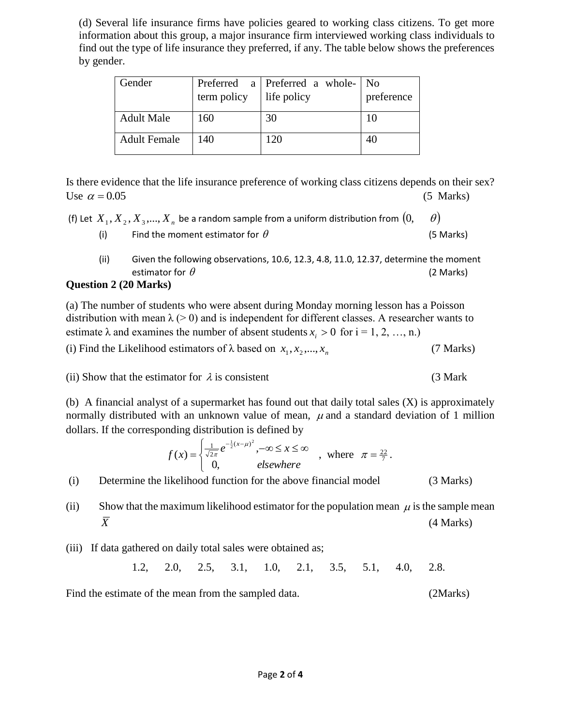(d) Several life insurance firms have policies geared to working class citizens. To get more information about this group, a major insurance firm interviewed working class individuals to find out the type of life insurance they preferred, if any. The table below shows the preferences by gender.

| Gender              | term policy | Preferred a Preferred a whole-<br>life policy | 1 No<br>preference |
|---------------------|-------------|-----------------------------------------------|--------------------|
| <b>Adult Male</b>   | 160         | 30                                            | 10                 |
| <b>Adult Female</b> | 140         | 120                                           | 40                 |

Is there evidence that the life insurance preference of working class citizens depends on their sex? Use  $\alpha = 0.05$ 0.05(5 Marks)

|  | (f) Let $X_1, X_2, X_3, , X_n$ be a random sample from a uniform distribution from $(0, 1)$ |  |  |
|--|---------------------------------------------------------------------------------------------|--|--|
|--|---------------------------------------------------------------------------------------------|--|--|

- (i) Find the moment estimator for  $\theta$ (5 Marks)
- (ii) Given the following observations, 10.6, 12.3, 4.8, 11.0, 12.37, determine the moment estimator for  $\theta$ (2 Marks)

### **Question 2 (20 Marks)**

(a) The number of students who were absent during Monday morning lesson has a Poisson distribution with mean  $\lambda$  (> 0) and is independent for different classes. A researcher wants to estimate  $\lambda$  and examines the number of absent students  $x_i > 0$  for  $i = 1, 2, ..., n$ .)

(i) Find the Likelihood estimators of  $\lambda$  based on  $x_1, x_2, ..., x_n$ (7 Marks)

(ii) Show that the estimator for  $\lambda$  is consistent (3 Mark

(b) A financial analyst of a supermarket has found out that daily total sales (X) is approximately normally distributed with an unknown value of mean,  $\mu$  and a standard deviation of 1 million dollars. If the corresponding distribution is defined by

$$
f(x) = \begin{cases} \frac{1}{\sqrt{2\pi}} e^{-\frac{1}{2}(x-\mu)^2}, -\infty \le x \le \infty \\ 0, \qquad \text{elsewhere} \end{cases}
$$
, where  $\pi = \frac{22}{7}$ .

(i) Determine the likelihood function for the above financial model (3 Marks)

(ii) Show that the maximum likelihood estimator for the population mean  $\mu$  is the sample mean *X* (4 Marks)

(iii) If data gathered on daily total sales were obtained as;

1.2, 2.0, 2.5, 3.1, 1.0, 2.1, 3.5, 5.1, 4.0, 2.8.

Find the estimate of the mean from the sampled data. (2Marks)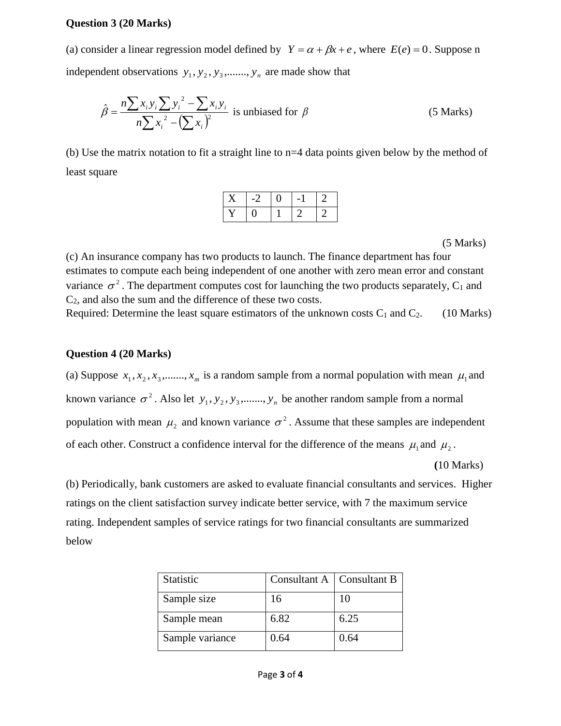#### **Question 3 (20 Marks)**

(a) consider a linear regression model defined by  $Y = \alpha + \beta x + e$ , where  $E(e) = 0$ . Suppose n independent observations  $y_1, y_2, y_3, \ldots, y_n$  are made show that

$$
\hat{\beta} = \frac{n \sum x_i y_i \sum y_i^2 - \sum x_i y_i}{n \sum x_i^2 - (\sum x_i)^2}
$$
 is unbiased for  $\beta$  (5 Marks)

(b) Use the matrix notation to fit a straight line to n=4 data points given below by the method of least square

| $\ddot{\phantom{1}}$ |  |  |
|----------------------|--|--|
|                      |  |  |

(5 Marks)

(c) An insurance company has two products to launch. The finance department has four estimates to compute each being independent of one another with zero mean error and constant variance  $\sigma^2$ . The department computes cost for launching the two products separately, C<sub>1</sub> and C2, and also the sum and the difference of these two costs.

Required: Determine the least square estimators of the unknown costs  $C_1$  and  $C_2$ . (10 Marks)

#### **Question 4 (20 Marks)**

(a) Suppose  $x_1, x_2, x_3, \dots, x_m$  is a random sample from a normal population with mean  $\mu_1$  and known variance  $\sigma^2$ . Also let  $y_1, y_2, y_3, \dots, y_n$  be another random sample from a normal population with mean  $\mu_2$  and known variance  $\sigma^2$ . Assume that these samples are independent of each other. Construct a confidence interval for the difference of the means  $\mu_1$  and  $\mu_2$ .

 **(**10 Marks)

(b) Periodically, bank customers are asked to evaluate financial consultants and services. Higher ratings on the client satisfaction survey indicate better service, with 7 the maximum service rating. Independent samples of service ratings for two financial consultants are summarized below

| <b>Statistic</b> | Consultant A   Consultant B |      |
|------------------|-----------------------------|------|
| Sample size      | 16                          | 10   |
| Sample mean      | 6.82                        | 6.25 |
| Sample variance  | 0.64                        | 0.64 |